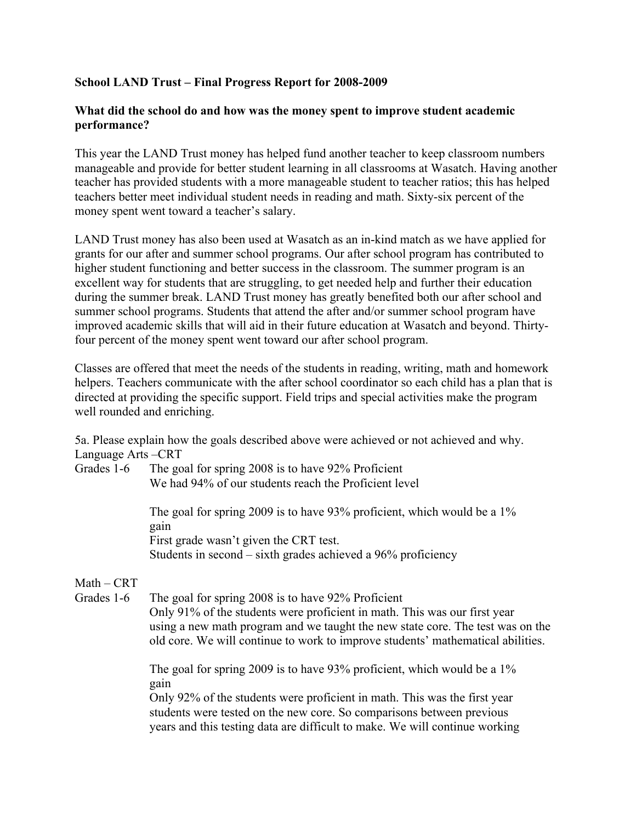### School LAND Trust – Final Progress Report for 2008-2009

#### What did the school do and how was the money spent to improve student academic performance?

This year the LAND Trust money has helped fund another teacher to keep classroom numbers manageable and provide for better student learning in all classrooms at Wasatch. Having another teacher has provided students with a more manageable student to teacher ratios; this has helped teachers better meet individual student needs in reading and math. Sixty-six percent of the money spent went toward a teacher's salary.

LAND Trust money has also been used at Wasatch as an in-kind match as we have applied for grants for our after and summer school programs. Our after school program has contributed to higher student functioning and better success in the classroom. The summer program is an excellent way for students that are struggling, to get needed help and further their education during the summer break. LAND Trust money has greatly benefited both our after school and summer school programs. Students that attend the after and/or summer school program have improved academic skills that will aid in their future education at Wasatch and beyond. Thirtyfour percent of the money spent went toward our after school program.

Classes are offered that meet the needs of the students in reading, writing, math and homework helpers. Teachers communicate with the after school coordinator so each child has a plan that is directed at providing the specific support. Field trips and special activities make the program well rounded and enriching.

5a. Please explain how the goals described above were achieved or not achieved and why. Language Arts –CRT

Grades 1-6 The goal for spring 2008 is to have 92% Proficient We had 94% of our students reach the Proficient level

> The goal for spring 2009 is to have 93% proficient, which would be a 1% gain First grade wasn't given the CRT test. Students in second – sixth grades achieved a 96% proficiency

### $Math - CRT$

Grades 1-6 The goal for spring 2008 is to have 92% Proficient Only 91% of the students were proficient in math. This was our first year using a new math program and we taught the new state core. The test was on the old core. We will continue to work to improve students' mathematical abilities.

> The goal for spring 2009 is to have 93% proficient, which would be a 1% gain

Only 92% of the students were proficient in math. This was the first year students were tested on the new core. So comparisons between previous years and this testing data are difficult to make. We will continue working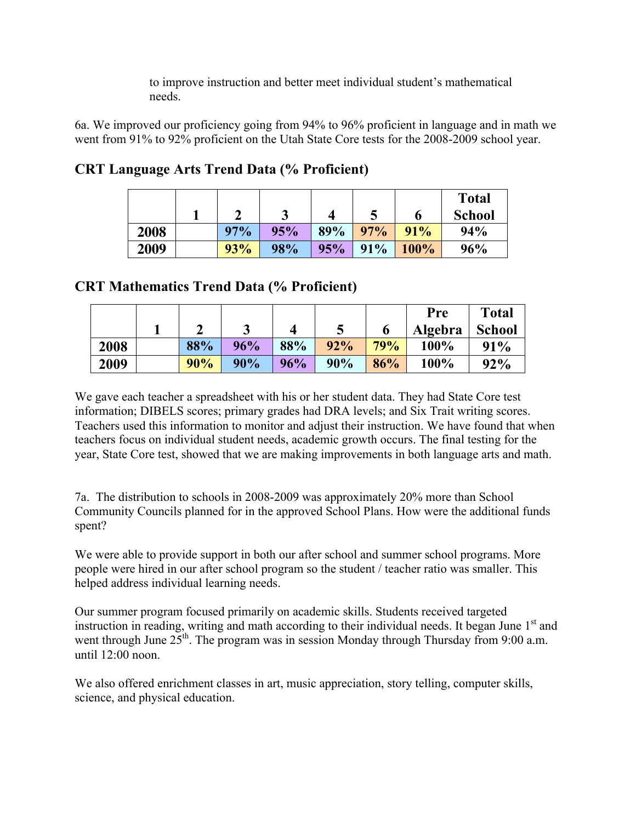to improve instruction and better meet individual student's mathematical needs.

6a. We improved our proficiency going from 94% to 96% proficient in language and in math we went from 91% to 92% proficient on the Utah State Core tests for the 2008-2009 school year.

|      |     | ں   |     | N   | o           | <b>Total</b><br><b>School</b> |
|------|-----|-----|-----|-----|-------------|-------------------------------|
| 2008 | 97% | 95% | 89% | 97% | 91%         | 94%                           |
| 2009 | 93% | 98% | 95% | 91% | <b>100%</b> | 96%                           |

# CRT Language Arts Trend Data (% Proficient)

## CRT Mathematics Trend Data (% Proficient)

|      |     |     |     |     |     | Pre     | <b>Total</b>  |
|------|-----|-----|-----|-----|-----|---------|---------------|
|      | ⌒   |     | 4   |     | O   | Algebra | <b>School</b> |
| 2008 | 88% | 96% | 88% | 92% | 79% | $100\%$ | 91%           |
| 2009 | 90% | 90% | 96% | 90% | 86% | 100%    | 92%           |

We gave each teacher a spreadsheet with his or her student data. They had State Core test information; DIBELS scores; primary grades had DRA levels; and Six Trait writing scores. Teachers used this information to monitor and adjust their instruction. We have found that when teachers focus on individual student needs, academic growth occurs. The final testing for the year, State Core test, showed that we are making improvements in both language arts and math.

7a. The distribution to schools in 2008-2009 was approximately 20% more than School Community Councils planned for in the approved School Plans. How were the additional funds spent?

We were able to provide support in both our after school and summer school programs. More people were hired in our after school program so the student / teacher ratio was smaller. This helped address individual learning needs.

Our summer program focused primarily on academic skills. Students received targeted instruction in reading, writing and math according to their individual needs. It began June  $1<sup>st</sup>$  and went through June 25<sup>th</sup>. The program was in session Monday through Thursday from 9:00 a.m. until  $12:00$  noon.

We also offered enrichment classes in art, music appreciation, story telling, computer skills, science, and physical education.